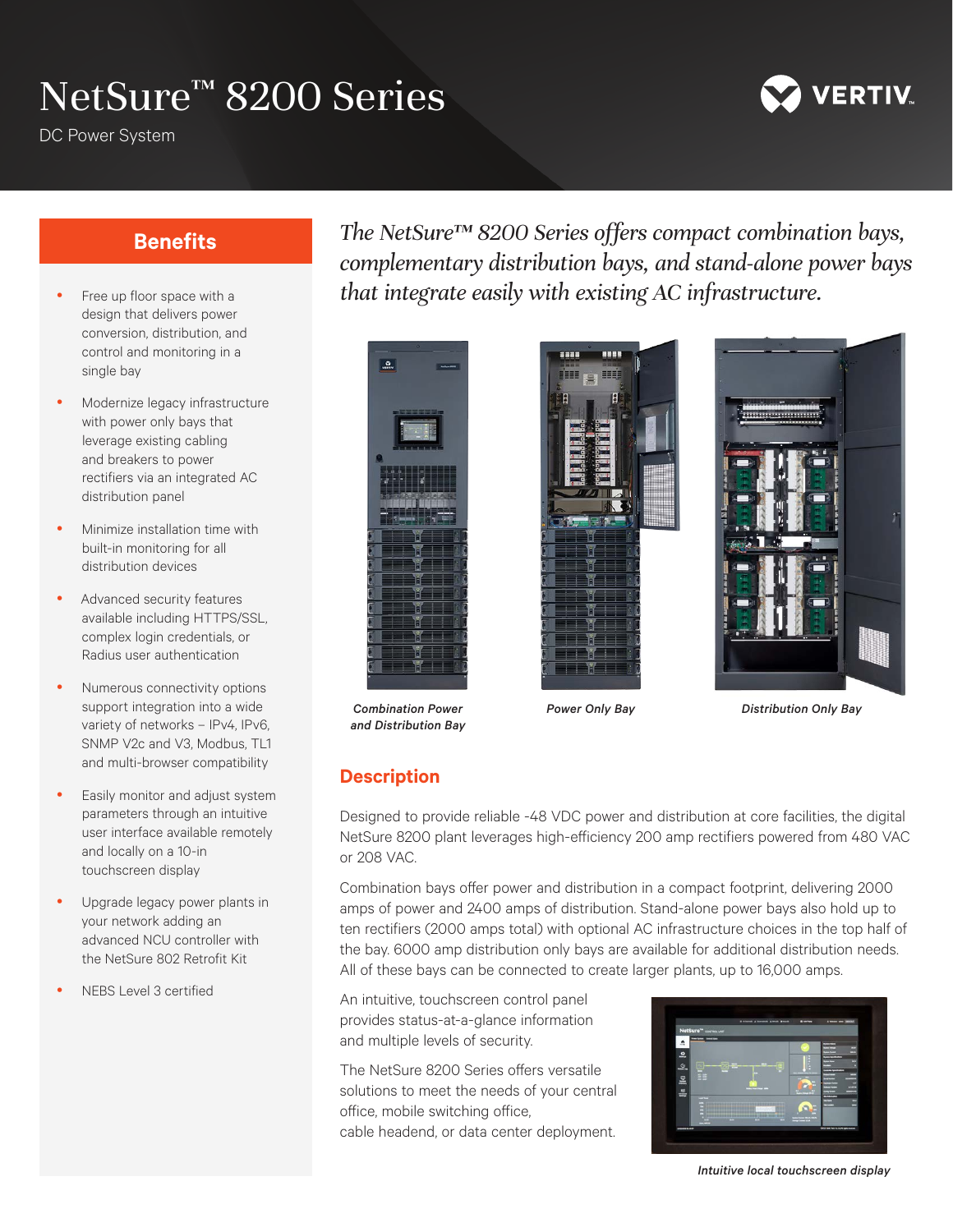# NetSure<sup>™</sup> 8200 Series



DC Power System

- Free up floor space with a design that delivers power conversion, distribution, and control and monitoring in a single bay
- Modernize legacy infrastructure with power only bays that leverage existing cabling and breakers to power rectifiers via an integrated AC distribution panel
- Minimize installation time with built-in monitoring for all distribution devices
- Advanced security features available including HTTPS/SSL, complex login credentials, or Radius user authentication
- Numerous connectivity options support integration into a wide variety of networks – IPv4, IPv6, SNMP V2c and V3, Modbus, TL1 and multi-browser compatibility
- Easily monitor and adjust system parameters through an intuitive user interface available remotely and locally on a 10-in touchscreen display
- Upgrade legacy power plants in your network adding an advanced NCU controller with the NetSure 802 Retrofit Kit
- NFBS Level 3 certified

**Benefits** *The NetSure™ 8200 Series offers compact combination bays, complementary distribution bays, and stand-alone power bays that integrate easily with existing AC infrastructure.*

m



*Combination Power and Distribution Bay*

*Power Only Bay Distribution Only Bay*

# **Description**

Designed to provide reliable -48 VDC power and distribution at core facilities, the digital NetSure 8200 plant leverages high-efficiency 200 amp rectifiers powered from 480 VAC or 208 VAC.

Combination bays offer power and distribution in a compact footprint, delivering 2000 amps of power and 2400 amps of distribution. Stand-alone power bays also hold up to ten rectifiers (2000 amps total) with optional AC infrastructure choices in the top half of the bay. 6000 amp distribution only bays are available for additional distribution needs. All of these bays can be connected to create larger plants, up to 16,000 amps.

An intuitive, touchscreen control panel provides status-at-a-glance information and multiple levels of security.

The NetSure 8200 Series offers versatile solutions to meet the needs of your central office, mobile switching office, cable headend, or data center deployment.



*Intuitive local touchscreen display*